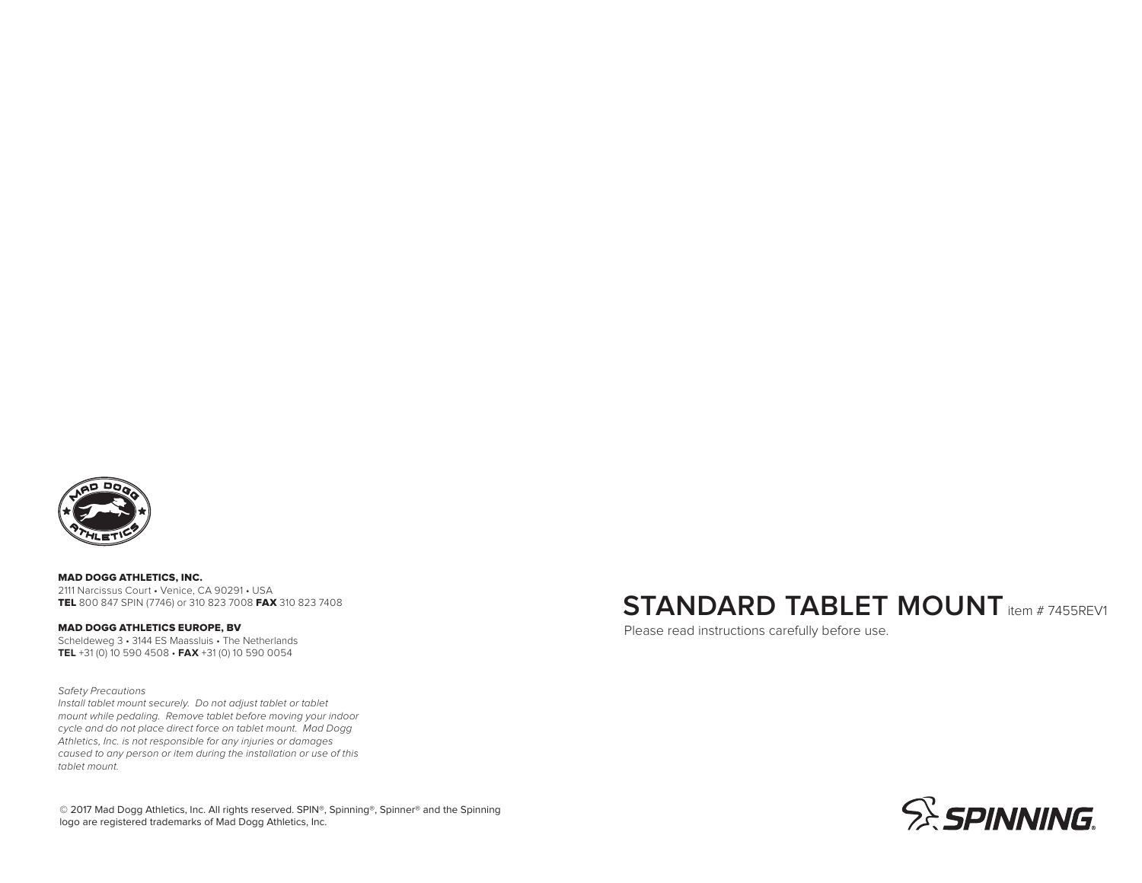

MAD DOGG ATHLETICS, INC. 2111 Narcissus Court • Venice, CA 90291 • USA TEL 800 847 SPIN (7746) or 310 823 7008 FAX 310 823 7408

MAD DOGG ATHLETICS EUROPE, BV Scheldeweg 3 • 3144 ES Maassluis • The Netherlands **TEL** +31 (0) 10 590 4508 • **FAX** +31 (0) 10 590 0054

Safety Precautions Install tablet mount securely. Do not adjust tablet or tablet

mount while pedaling. Remove tablet before moving your indoor cycle and do not place direct force on tablet mount. Mad Dogg Athletics, Inc. is not responsible for any injuries or damages caused to any person or item during the installation or use of this tablet mount.

## **STANDARD TABLET MOUNT** item # 7455REV1

Please read instructions carefully before use.



© 2017 Mad Dogg Athletics, Inc. All rights reserved. SPIN®, Spinning®, Spinner® and the Spinning logo are registered trademarks of Mad Dogg Athletics, Inc.